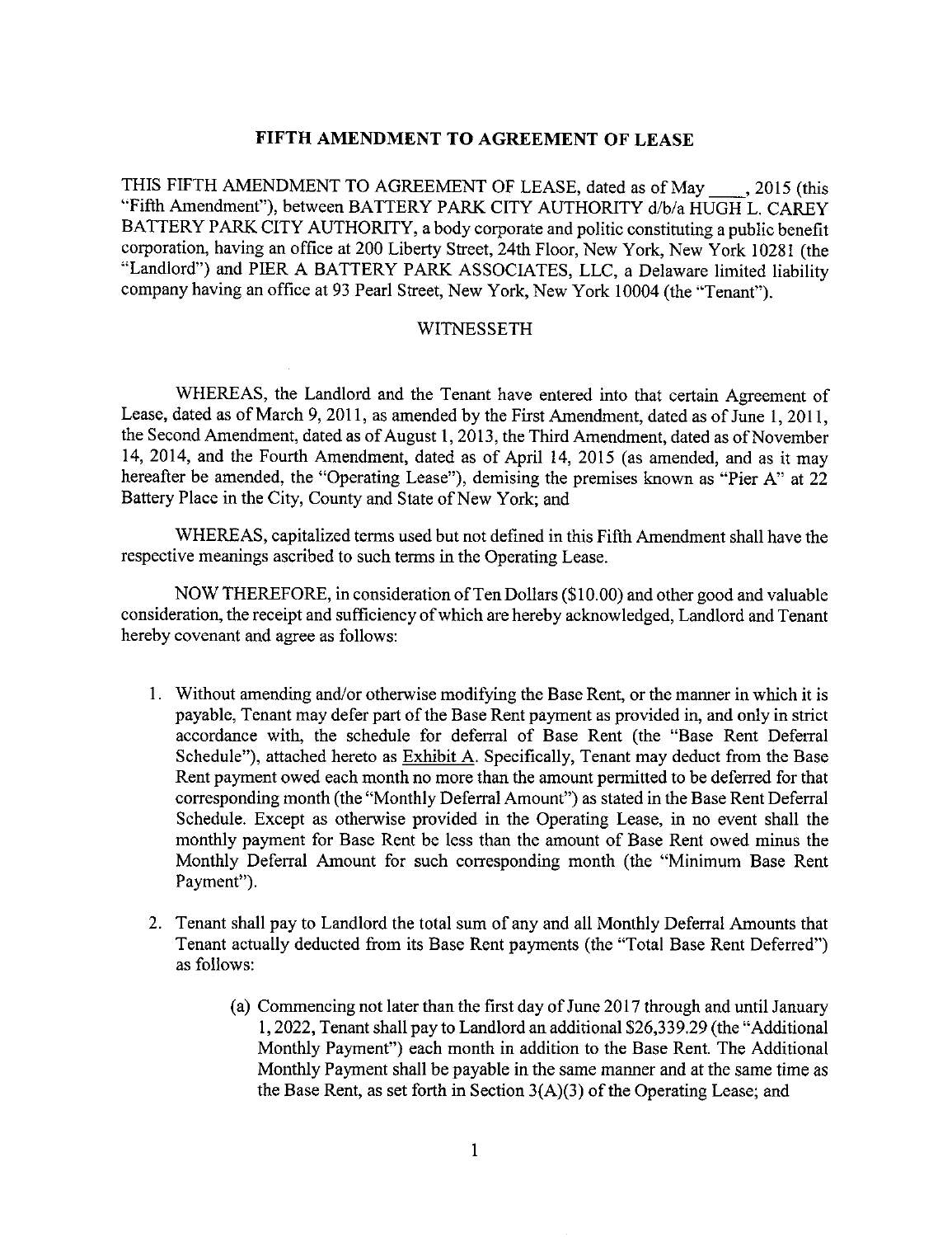### **FIFTH AMENDMENT TO AGREEMENT** OF **LEASE**

THIS FIFTH AMENDMENT TO AGREEMENT OF LEASE, dated as of May 1, 2015 (this "Fifth Amendment"), between BATTERY PARK CITY AUTHORITY d/b/a HUGH L. CAREY BATTERY PARK CITY AUTHORITY, a body corporate and politic constituting a public benefit corporation, having an office at 200 Liberty Street, 24th Floor, New York, New York 10281 (the "Landlord") and PIER A BATTERY PARK ASSOCIATES, LLC, a *Delaware* limited liability company having an office at 93 Pearl Street, New York, New York 10004 (the "Tenant").

#### WITNESSETH

WHEREAS, **the Landlord and** the Tenant have entered into that certain Agreement of Lease, dated as of March 9, 2011, as amended by the First Amendment, dated as of June 1, 2011, the Second Amendment, dated as of August 1, 2013, the Third Amendment, dated as of November 14, 2014, and the Fourth Amendment, dated as of April 14, 2015 (as amended, and as it may hereafter be amended, the "Operating Lease"), demising the premises known as "Pier A" at 22 Battery Place in the City, County and State of New York; and

WHEREAS, capitalized terms used but not def'med in this Fifth Amendment shall have the respective meanings ascribed to such terms in the Operating Lease.

NOW THEREFORE, in consideration ofTen Dollars (\$10.00) **and** other good **and** valuable consideration, the receipt and sufficiency of which are hereby acknowledged, Landlord and Tenant hereby covenant and agree as follows:

- . Without amending and/or otherwise modifying the **Base** Rent, or the manner in which it **is** payable, Tenant may defer part of the Base Rent payment as provided in, and only in strict accordance with, the schedule for deferral of Base Rent (the "Base Rent Deferral Schedule"), attached hereto as  $Exhibit A$ . Specifically, Tenant may deduct from the Base Rent payment owed each month no more than the amount permitted to be deferred for that corresponding month (the "Monthly Deferral Amount") as stated in the Base Rent Deferral Schedule. Except as otherwise provided in the Operating Lease, in no event shall the monthly payment for Base Rent be less than the amount of Base Rent owed minus the Monthly Deferral Amount for such corresponding month (the "Minimum Base Rent Payment").
- . Tenant shall pay to Landlord the total sum of any and all Monthly Deferral Amounts that Tenant actually deducted from its Base Rent payments (the "Total Base Rent Deferred") as follows:
	- (a) Commencing not later than the first day of June 2017 through and until January 1,2022, Tenant shall pay to Landlord an additional \$26,339.29 (the "Additional Monthly Payment") each month in addition to the Base Rent. The Additional Monthly Payment shall be payable in the same manner and at the same time as the Base Rent, as set forth in Section 3(A)(3) of the Operating Lease; and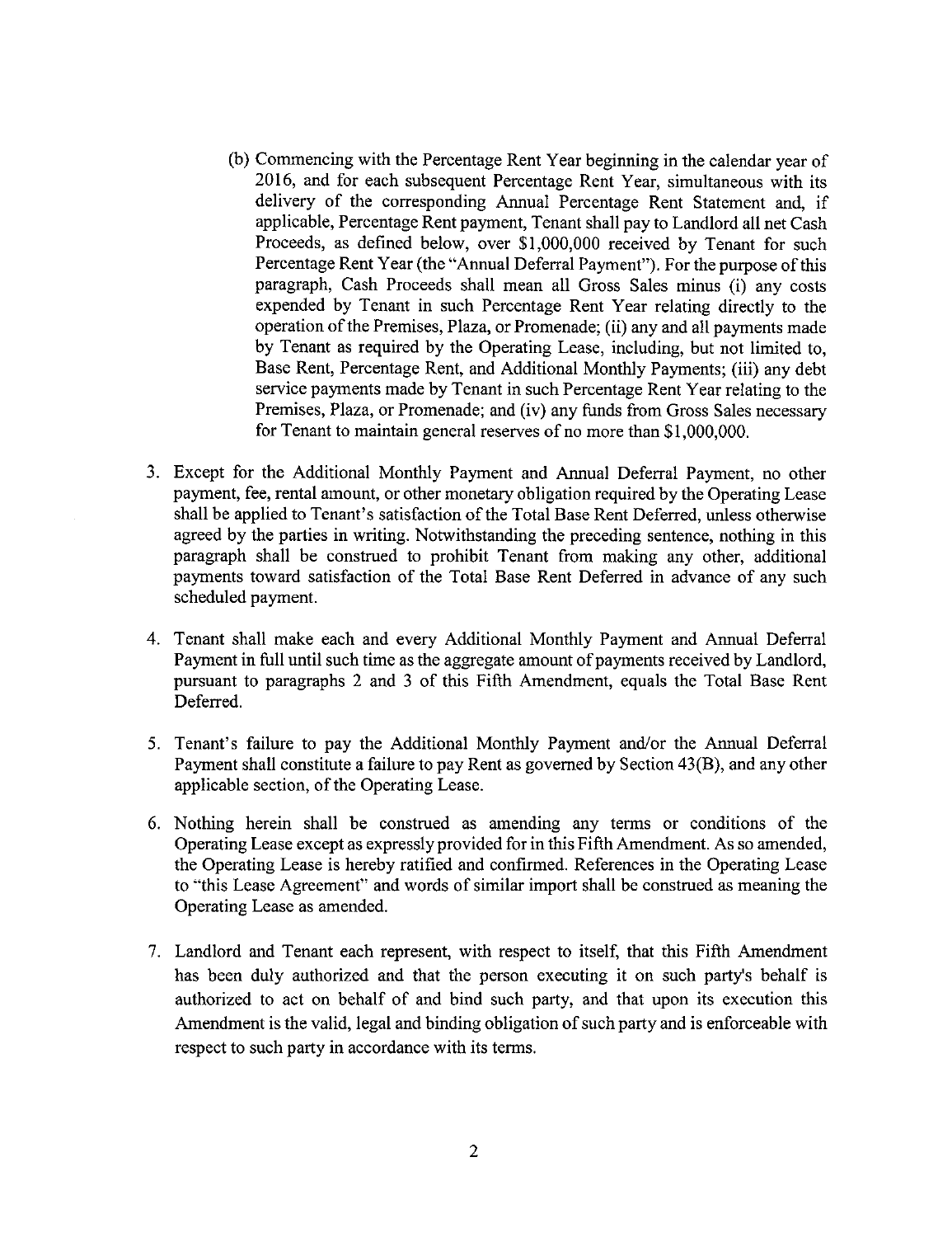- (b) Commencing with the Percentage Rent Year beginning in the calendar year of 2016, and for each subsequent Percentage Rent Year, simultaneous with its delivery of the corresponding Annual Percentage Rent Statement and, if applicable, Percentage Rent payment, Tenant shall pay to Landlord all net Cash Proceeds, as defined below, over \$1,000,000 received by Tenant for such Percentage Rent Year (the "Annual Deferral Payment"). For the purpose of this paragraph, Cash Proceeds shall mean all Gross Sales minus (i) any costs expended by Tenant in such Percentage Rent Year relating directly to the operation of the Premises, Plaza, or Promenade; (ii) any and all payments made by Tenant as required by the Operating Lease, including, but not limited to, Base Rent, Percentage Rent, and Additional Monthly Payments; (iii) any debt service payments made by Tenant in such Percentage Rent Year relating to the Premises, Plaza, or Promenade; and (iv) any funds from Gross Sales necessary for Tenant to maintain general reserves of no more than \$1,000,000.
- . Except for the Additional Monthly Payment and Annual Deferral Payment, no other payment, fee, rental amount, or other monetary obligation required by the Operating Lease shall be applied to Tenant's satisfaction of the Total Base Rent Deferred, unless otherwise agreed by the parties in writing. Notwithstanding the preceding sentence, nothing in this paragraph shall be construed to prohibit Tenant from making any other, additional payments toward satisfaction of the Total Base Rent Deferred in advance of any such scheduled payment.
- 4. Tenant shall make each and every Additional Monthly Payment and Annual Deferral Payment in full until such time as the aggregate amount of payments received by Landlord, pursuant to paragraphs 2 and 3 of this Fifth Amendment, equals the Total Base Rent Deferred.
- 5. Tenant's failure to pay the Additional Monthly Payment and/or the Annual Deferral Payment shall constitute a failure to pay Rent as governed by Section 43(B), and any other applicable section, of the Operating Lease.
- 6. Nothing herein shall be construed as amending any terms or conditions of the Operating Lease except as expressly provided for in this Fifth Amendment. As so amended, the Operating Lease is hereby ratified and confirmed. References in the Operating Lease to "this Lease Agreement" and words of similar import shall be construed as meaning the Operating Lease as amended.
- 7. Landlord and Tenant each represent, with respect to itself, that this Fifth Amendment has been duly authorized and that the person executing it on such party's behalf is authorized to act on behalf of and bind such party, and that upon its execution this Amendment is the valid, legal and binding obligation of such party and is enforceable with respect to such party in accordance with its terms.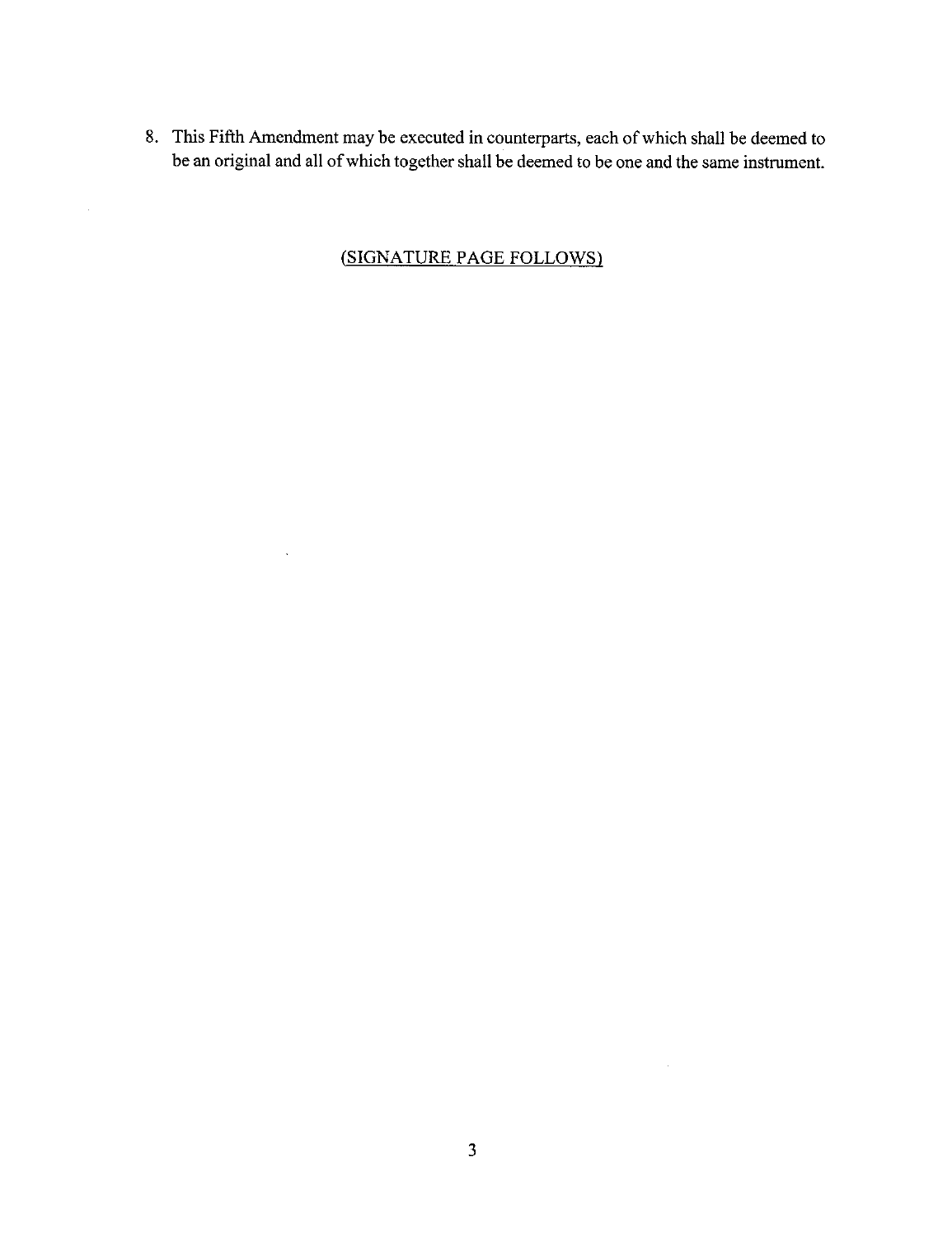8. This Fifth Amendment may be executed in counterparts, each of which shall be deemed to be an original and all of which together shall be deemed to be one and the same instrument.

### *(SIGNATURE* PAGE FOLLOWS)

 $\sim$   $\sim$ 

 $\bar{u}$ 

 $\hat{\boldsymbol{\theta}}$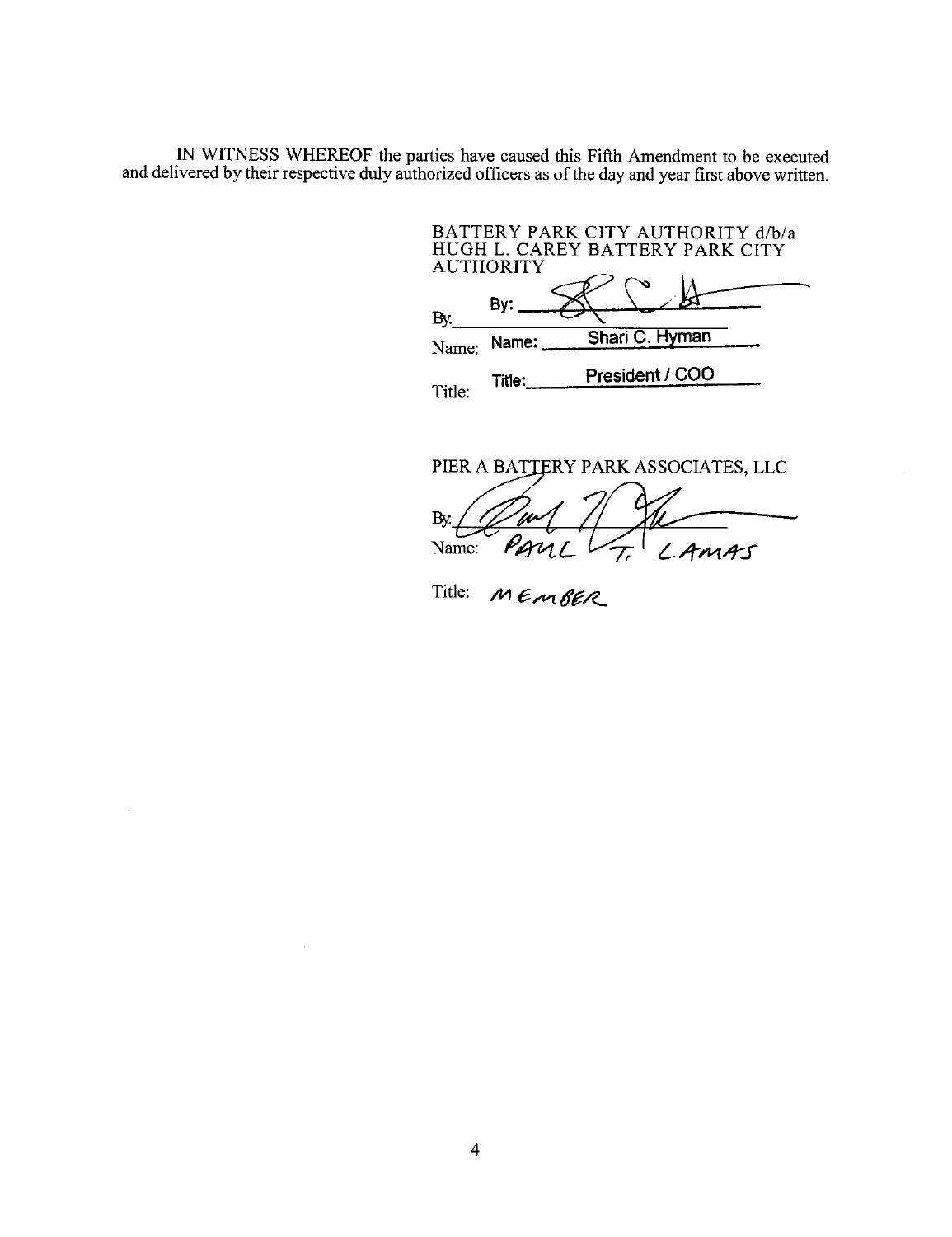IN WITNESS WHEREOF the parties have caused this Fifth Amendment to be execute and delivered by their respective duly authorized officers as of the day and year first above written.

BATTERY PARK CITY AUTHORITY d/b/ HUGH L. CAREY BATTERY PARK CIT AUTHORITY By: By. Name: **Name: Shari** C. Hyman President / CO0 Title: Title:

PIER A BATTERY PARK ASSOCIATES, LLC By. Name: PAUL -- LAMAS

Title: MEMBER